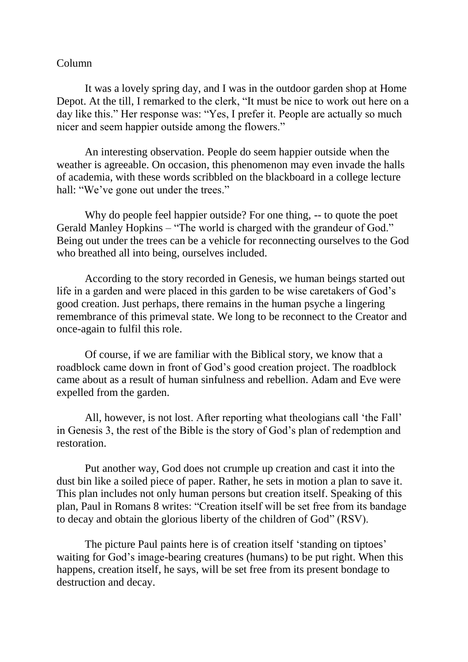## Column

It was a lovely spring day, and I was in the outdoor garden shop at Home Depot. At the till, I remarked to the clerk, "It must be nice to work out here on a day like this." Her response was: "Yes, I prefer it. People are actually so much nicer and seem happier outside among the flowers."

An interesting observation. People do seem happier outside when the weather is agreeable. On occasion, this phenomenon may even invade the halls of academia, with these words scribbled on the blackboard in a college lecture hall: "We've gone out under the trees."

Why do people feel happier outside? For one thing, -- to quote the poet Gerald Manley Hopkins – "The world is charged with the grandeur of God." Being out under the trees can be a vehicle for reconnecting ourselves to the God who breathed all into being, ourselves included.

According to the story recorded in Genesis, we human beings started out life in a garden and were placed in this garden to be wise caretakers of God's good creation. Just perhaps, there remains in the human psyche a lingering remembrance of this primeval state. We long to be reconnect to the Creator and once-again to fulfil this role.

Of course, if we are familiar with the Biblical story, we know that a roadblock came down in front of God's good creation project. The roadblock came about as a result of human sinfulness and rebellion. Adam and Eve were expelled from the garden.

All, however, is not lost. After reporting what theologians call 'the Fall' in Genesis 3, the rest of the Bible is the story of God's plan of redemption and restoration.

Put another way, God does not crumple up creation and cast it into the dust bin like a soiled piece of paper. Rather, he sets in motion a plan to save it. This plan includes not only human persons but creation itself. Speaking of this plan, Paul in Romans 8 writes: "Creation itself will be set free from its bandage to decay and obtain the glorious liberty of the children of God" (RSV).

The picture Paul paints here is of creation itself 'standing on tiptoes' waiting for God's image-bearing creatures (humans) to be put right. When this happens, creation itself, he says, will be set free from its present bondage to destruction and decay.